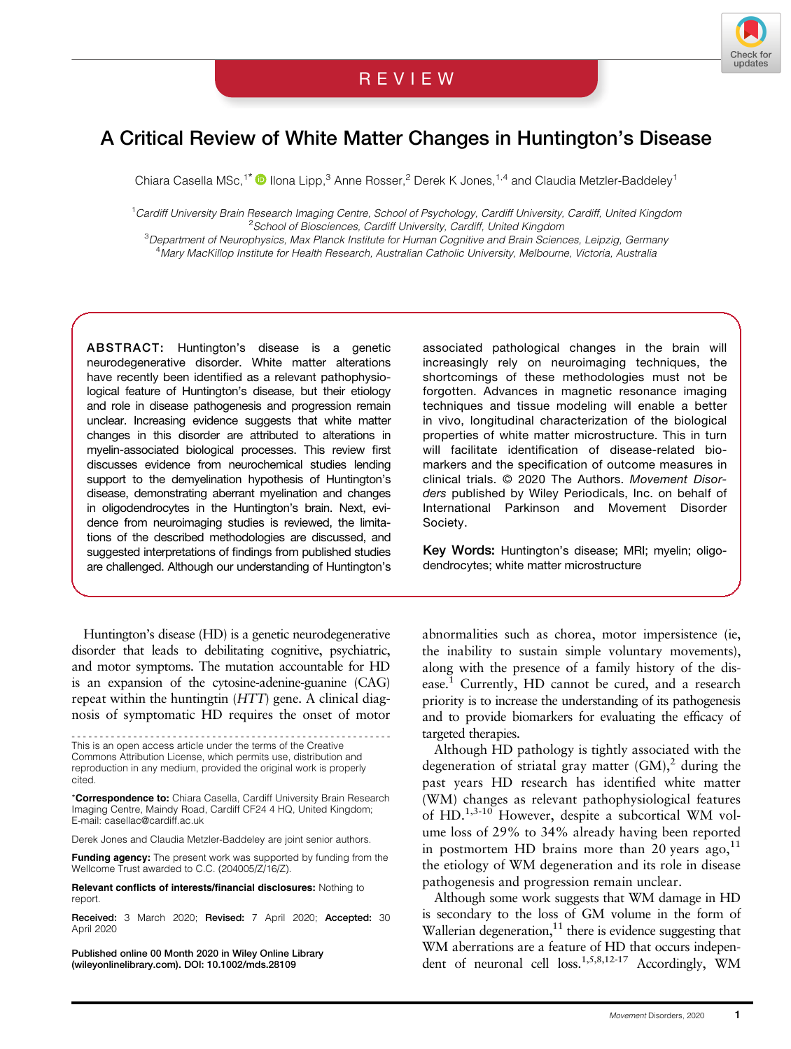

# A Critical Review of White Matter Changes in Huntington's Disease

Chiara Casella MSc,<sup>1\*</sup>  $\bullet$  Ilona Lipp,<sup>3</sup> Anne Rosser,<sup>2</sup> Derek K Jones,<sup>1,4</sup> and Claudia Metzler-Baddeley<sup>1</sup>

<sup>1</sup>Cardiff University Brain Research Imaging Centre, School of Psychology, Cardiff University, Cardiff, United Kingdom <sup>2</sup>School of Biosciences, Cardiff University, Cardiff, United Kingdom

<sup>3</sup>Department of Neurophysics, Max Plaosciences, Cardiff University, Cardiff, United Kingdom<br><sup>3</sup>Department of Neurophysics, Max Planck Institute for Human Cognitive and Brain Sciences, Leipzig, Germany 4 Mary MacKillop Institute for Health Research, Australian Catholic University, Melbourne, Victoria, Australia

ABSTRACT: Huntington's disease is a genetic neurodegenerative disorder. White matter alterations have recently been identified as a relevant pathophysiological feature of Huntington's disease, but their etiology and role in disease pathogenesis and progression remain unclear. Increasing evidence suggests that white matter changes in this disorder are attributed to alterations in myelin-associated biological processes. This review first discusses evidence from neurochemical studies lending support to the demyelination hypothesis of Huntington's disease, demonstrating aberrant myelination and changes in oligodendrocytes in the Huntington's brain. Next, evidence from neuroimaging studies is reviewed, the limitations of the described methodologies are discussed, and suggested interpretations of findings from published studies are challenged. Although our understanding of Huntington's

Huntington's disease (HD) is a genetic neurodegenerative disorder that leads to debilitating cognitive, psychiatric, and motor symptoms. The mutation accountable for HD is an expansion of the cytosine-adenine-guanine (CAG) repeat within the huntingtin (HTT) gene. A clinical diagnosis of symptomatic HD requires the onset of motor

--------------------------------------------------------- This is an open access article under the terms of the [Creative](http://creativecommons.org/licenses/by/4.0/) [Commons Attribution](http://creativecommons.org/licenses/by/4.0/) License, which permits use, distribution and reproduction in any medium, provided the original work is properly cited.

\*Correspondence to: Chiara Casella, Cardiff University Brain Research Imaging Centre, Maindy Road, Cardiff CF24 4 HQ, United Kingdom; E-mail: [casellac@cardiff.ac.uk](mailto:casellac@cardiff.ac.uk)

Derek Jones and Claudia Metzler-Baddeley are joint senior authors.

**Funding agency:** The present work was supported by funding from the Wellcome Trust awarded to C.C. (204005/Z/16/Z).

Relevant conflicts of interests/financial disclosures: Nothing to report.

Received: 3 March 2020; Revised: 7 April 2020; Accepted: 30 April 2020

Published online 00 Month 2020 in Wiley Online Library (wileyonlinelibrary.com). DOI: 10.1002/mds.28109

associated pathological changes in the brain will increasingly rely on neuroimaging techniques, the shortcomings of these methodologies must not be forgotten. Advances in magnetic resonance imaging techniques and tissue modeling will enable a better in vivo, longitudinal characterization of the biological properties of white matter microstructure. This in turn will facilitate identification of disease-related biomarkers and the specification of outcome measures in clinical trials. © 2020 The Authors. Movement Disorders published by Wiley Periodicals, Inc. on behalf of International Parkinson and Movement Disorder Society.

Key Words: Huntington's disease; MRI; myelin; oligodendrocytes; white matter microstructure

abnormalities such as chorea, motor impersistence (ie, the inability to sustain simple voluntary movements), along with the presence of a family history of the disease.1 Currently, HD cannot be cured, and a research priority is to increase the understanding of its pathogenesis and to provide biomarkers for evaluating the efficacy of targeted therapies.

Although HD pathology is tightly associated with the degeneration of striatal gray matter  $(GM)$ ,<sup>2</sup> during the past years HD research has identified white matter (WM) changes as relevant pathophysiological features of HD.1,3-10 However, despite a subcortical WM volume loss of 29% to 34% already having been reported in postmortem HD brains more than 20 years ago, $^{11}$ the etiology of WM degeneration and its role in disease pathogenesis and progression remain unclear.

Although some work suggests that WM damage in HD is secondary to the loss of GM volume in the form of Wallerian degeneration, $^{11}$  there is evidence suggesting that WM aberrations are a feature of HD that occurs independent of neuronal cell  $loss.<sup>1,5,8,12-17</sup>$  Accordingly, WM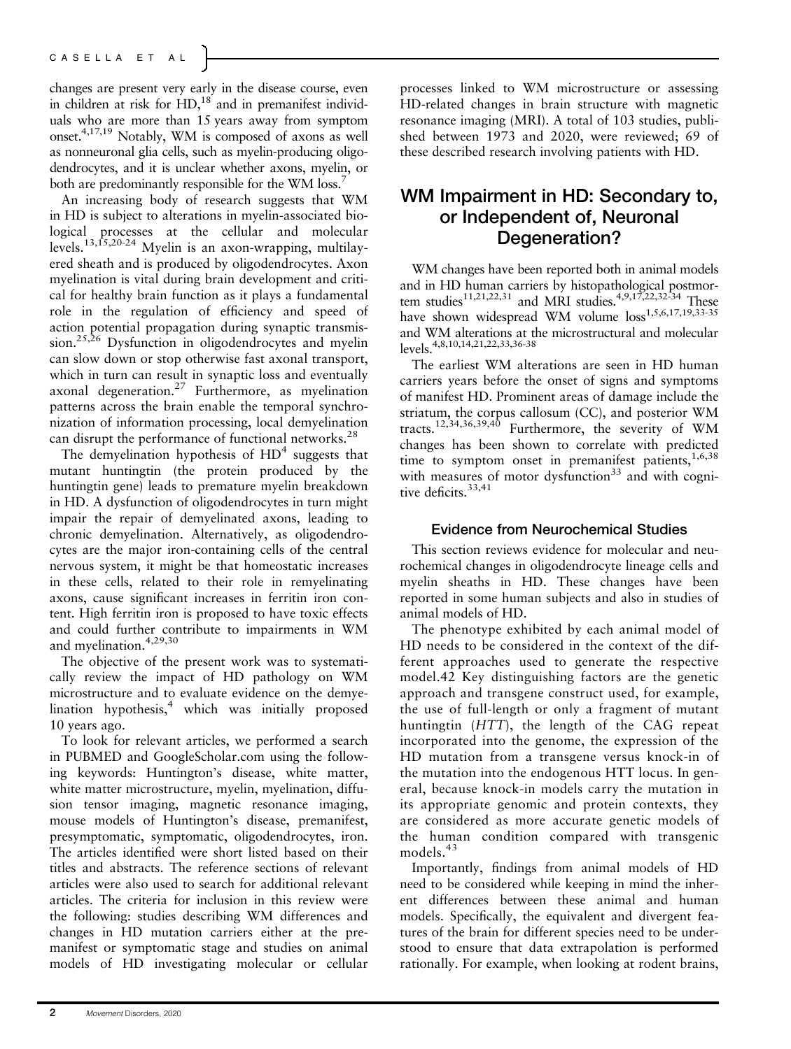changes are present very early in the disease course, even in children at risk for  $HD<sup>18</sup>$  and in premanifest individuals who are more than 15 years away from symptom onset.4,17,19 Notably, WM is composed of axons as well as nonneuronal glia cells, such as myelin-producing oligodendrocytes, and it is unclear whether axons, myelin, or both are predominantly responsible for the WM loss.<sup>7</sup>

An increasing body of research suggests that WM in HD is subject to alterations in myelin-associated biological processes at the cellular and molecular levels.13,15,20-24 Myelin is an axon-wrapping, multilayered sheath and is produced by oligodendrocytes. Axon myelination is vital during brain development and critical for healthy brain function as it plays a fundamental role in the regulation of efficiency and speed of action potential propagation during synaptic transmis $sion.<sup>25,26</sup>$  Dysfunction in oligodendrocytes and myelin can slow down or stop otherwise fast axonal transport, which in turn can result in synaptic loss and eventually axonal degeneration.<sup>27</sup> Furthermore, as myelination patterns across the brain enable the temporal synchronization of information processing, local demyelination can disrupt the performance of functional networks.<sup>28</sup>

The demyelination hypothesis of  $HD<sup>4</sup>$  suggests that mutant huntingtin (the protein produced by the huntingtin gene) leads to premature myelin breakdown in HD. A dysfunction of oligodendrocytes in turn might impair the repair of demyelinated axons, leading to chronic demyelination. Alternatively, as oligodendrocytes are the major iron-containing cells of the central nervous system, it might be that homeostatic increases in these cells, related to their role in remyelinating axons, cause significant increases in ferritin iron content. High ferritin iron is proposed to have toxic effects and could further contribute to impairments in WM and myelination.4,29,30

The objective of the present work was to systematically review the impact of HD pathology on WM microstructure and to evaluate evidence on the demyelination hypothesis, $4$  which was initially proposed 10 years ago.

To look for relevant articles, we performed a search in PUBMED and [GoogleScholar.com](http://GoogleScholar.com) using the following keywords: Huntington's disease, white matter, white matter microstructure, myelin, myelination, diffusion tensor imaging, magnetic resonance imaging, mouse models of Huntington's disease, premanifest, presymptomatic, symptomatic, oligodendrocytes, iron. The articles identified were short listed based on their titles and abstracts. The reference sections of relevant articles were also used to search for additional relevant articles. The criteria for inclusion in this review were the following: studies describing WM differences and changes in HD mutation carriers either at the premanifest or symptomatic stage and studies on animal models of HD investigating molecular or cellular

processes linked to WM microstructure or assessing HD-related changes in brain structure with magnetic resonance imaging (MRI). A total of 103 studies, published between 1973 and 2020, were reviewed; 69 of these described research involving patients with HD.

## WM Impairment in HD: Secondary to, or Independent of, Neuronal Degeneration?

WM changes have been reported both in animal models and in HD human carriers by histopathological postmortem studies<sup>11,21,22,31</sup> and MRI studies.<sup>4,9,17,22,32-34</sup> These have shown widespread WM volume  $loss^{1,5,6,17,19,33-35}$ and WM alterations at the microstructural and molecular levels.4,8,10,14,21,22,33,36-38

The earliest WM alterations are seen in HD human carriers years before the onset of signs and symptoms of manifest HD. Prominent areas of damage include the striatum, the corpus callosum (CC), and posterior WM tracts.12,34,36,39,40 Furthermore, the severity of WM changes has been shown to correlate with predicted time to symptom onset in premanifest patients,  $1,6,38$ with measures of motor dysfunction $33$  and with cognitive deficits.<sup>33,41</sup>

### Evidence from Neurochemical Studies

This section reviews evidence for molecular and neurochemical changes in oligodendrocyte lineage cells and myelin sheaths in HD. These changes have been reported in some human subjects and also in studies of animal models of HD.

The phenotype exhibited by each animal model of HD needs to be considered in the context of the different approaches used to generate the respective model.42 Key distinguishing factors are the genetic approach and transgene construct used, for example, the use of full-length or only a fragment of mutant huntingtin (HTT), the length of the CAG repeat incorporated into the genome, the expression of the HD mutation from a transgene versus knock-in of the mutation into the endogenous HTT locus. In general, because knock-in models carry the mutation in its appropriate genomic and protein contexts, they are considered as more accurate genetic models of the human condition compared with transgenic models.<sup>43</sup>

Importantly, findings from animal models of HD need to be considered while keeping in mind the inherent differences between these animal and human models. Specifically, the equivalent and divergent features of the brain for different species need to be understood to ensure that data extrapolation is performed rationally. For example, when looking at rodent brains,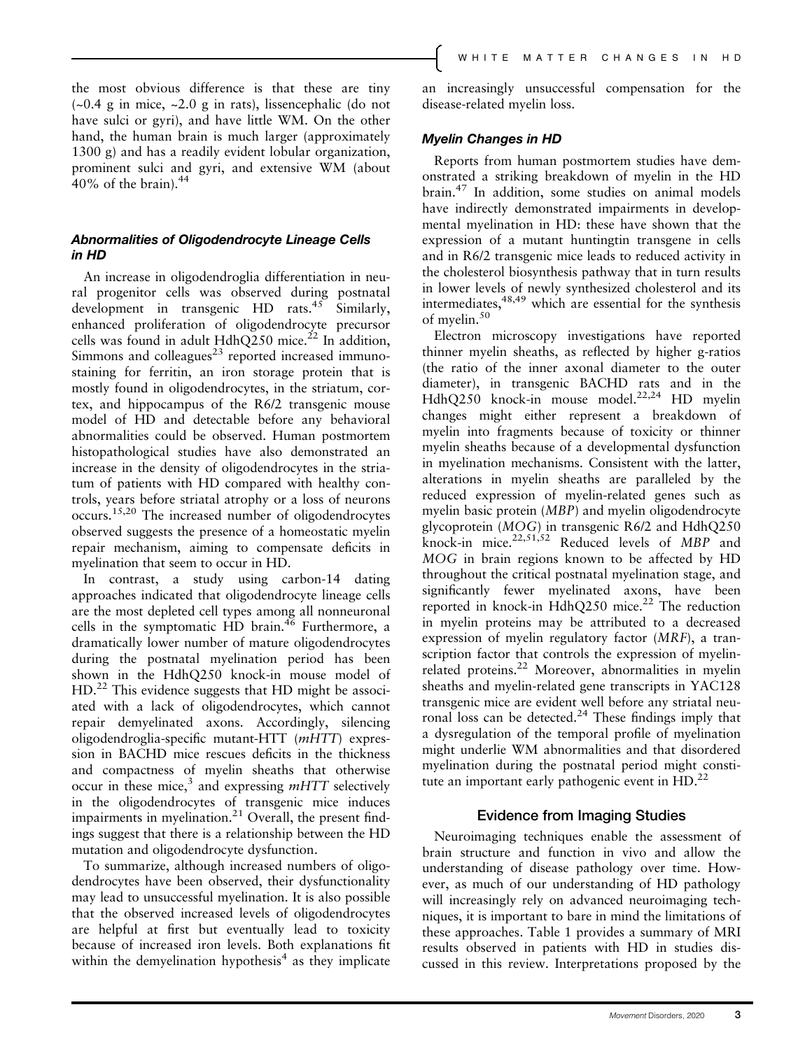the most obvious difference is that these are tiny  $(-0.4 \text{ g} \text{ in mice}, -2.0 \text{ g} \text{ in rats})$ , lissencephalic (do not have sulci or gyri), and have little WM. On the other hand, the human brain is much larger (approximately 1300 g) and has a readily evident lobular organization, prominent sulci and gyri, and extensive WM (about  $40\%$  of the brain). $44$ 

### Abnormalities of Oligodendrocyte Lineage Cells in HD

An increase in oligodendroglia differentiation in neural progenitor cells was observed during postnatal development in transgenic HD rats.<sup>45</sup> Similarly, enhanced proliferation of oligodendrocyte precursor cells was found in adult  $HdhQ250$  mice.<sup>22</sup> In addition, Simmons and colleagues $23$  reported increased immunostaining for ferritin, an iron storage protein that is mostly found in oligodendrocytes, in the striatum, cortex, and hippocampus of the R6/2 transgenic mouse model of HD and detectable before any behavioral abnormalities could be observed. Human postmortem histopathological studies have also demonstrated an increase in the density of oligodendrocytes in the striatum of patients with HD compared with healthy controls, years before striatal atrophy or a loss of neurons occurs.15,20 The increased number of oligodendrocytes observed suggests the presence of a homeostatic myelin repair mechanism, aiming to compensate deficits in myelination that seem to occur in HD.

In contrast, a study using carbon-14 dating approaches indicated that oligodendrocyte lineage cells are the most depleted cell types among all nonneuronal cells in the symptomatic HD brain.<sup>46</sup> Furthermore, a dramatically lower number of mature oligodendrocytes during the postnatal myelination period has been shown in the HdhQ250 knock-in mouse model of HD.<sup>22</sup> This evidence suggests that HD might be associated with a lack of oligodendrocytes, which cannot repair demyelinated axons. Accordingly, silencing oligodendroglia-specific mutant-HTT (mHTT) expression in BACHD mice rescues deficits in the thickness and compactness of myelin sheaths that otherwise occur in these mice,<sup>3</sup> and expressing  $mHTT$  selectively in the oligodendrocytes of transgenic mice induces impairments in myelination.<sup>21</sup> Overall, the present findings suggest that there is a relationship between the HD mutation and oligodendrocyte dysfunction.

To summarize, although increased numbers of oligodendrocytes have been observed, their dysfunctionality may lead to unsuccessful myelination. It is also possible that the observed increased levels of oligodendrocytes are helpful at first but eventually lead to toxicity because of increased iron levels. Both explanations fit within the demyelination hypothesis<sup>4</sup> as they implicate an increasingly unsuccessful compensation for the disease-related myelin loss.

### Myelin Changes in HD

Reports from human postmortem studies have demonstrated a striking breakdown of myelin in the HD brain.<sup>47</sup> In addition, some studies on animal models have indirectly demonstrated impairments in developmental myelination in HD: these have shown that the expression of a mutant huntingtin transgene in cells and in R6/2 transgenic mice leads to reduced activity in the cholesterol biosynthesis pathway that in turn results in lower levels of newly synthesized cholesterol and its intermediates,  $48,49$  which are essential for the synthesis of myelin.<sup>50</sup>

Electron microscopy investigations have reported thinner myelin sheaths, as reflected by higher g-ratios (the ratio of the inner axonal diameter to the outer diameter), in transgenic BACHD rats and in the  $HdhQ250$  knock-in mouse model.<sup>22,24</sup> HD myelin changes might either represent a breakdown of myelin into fragments because of toxicity or thinner myelin sheaths because of a developmental dysfunction in myelination mechanisms. Consistent with the latter, alterations in myelin sheaths are paralleled by the reduced expression of myelin-related genes such as myelin basic protein (MBP) and myelin oligodendrocyte glycoprotein (MOG) in transgenic R6/2 and HdhQ250 knock-in mice. $2^{2,51,52}$  Reduced levels of MBP and MOG in brain regions known to be affected by HD throughout the critical postnatal myelination stage, and significantly fewer myelinated axons, have been reported in knock-in HdhQ250 mice.<sup>22</sup> The reduction in myelin proteins may be attributed to a decreased expression of myelin regulatory factor (MRF), a transcription factor that controls the expression of myelinrelated proteins.<sup>22</sup> Moreover, abnormalities in myelin sheaths and myelin-related gene transcripts in YAC128 transgenic mice are evident well before any striatal neuronal loss can be detected.<sup>24</sup> These findings imply that a dysregulation of the temporal profile of myelination might underlie WM abnormalities and that disordered myelination during the postnatal period might constitute an important early pathogenic event in  $HD.^{22}$ 

### Evidence from Imaging Studies

Neuroimaging techniques enable the assessment of brain structure and function in vivo and allow the understanding of disease pathology over time. However, as much of our understanding of HD pathology will increasingly rely on advanced neuroimaging techniques, it is important to bare in mind the limitations of these approaches. Table 1 provides a summary of MRI results observed in patients with HD in studies discussed in this review. Interpretations proposed by the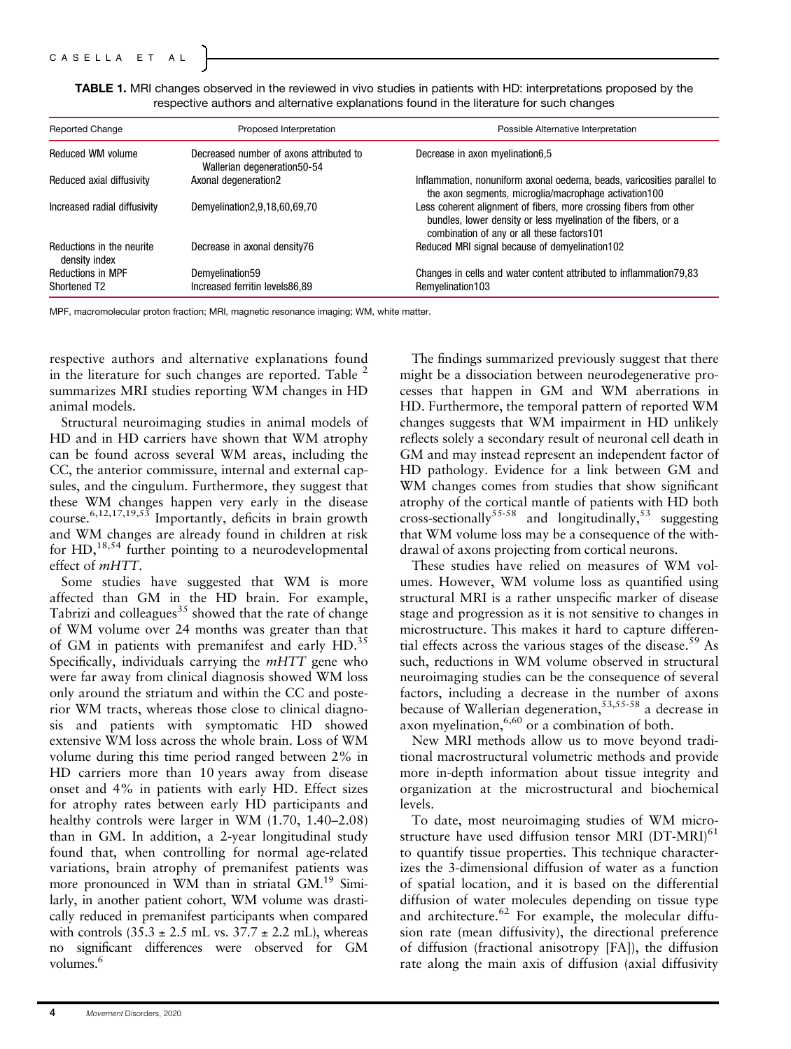| TABLE 1. MRI changes observed in the reviewed in vivo studies in patients with HD: interpretations proposed by the |  |
|--------------------------------------------------------------------------------------------------------------------|--|
| respective authors and alternative explanations found in the literature for such changes                           |  |

| <b>Reported Change</b>                               | Proposed Interpretation                                                 | Possible Alternative Interpretation                                                                                                                                                |
|------------------------------------------------------|-------------------------------------------------------------------------|------------------------------------------------------------------------------------------------------------------------------------------------------------------------------------|
| Reduced WM volume                                    | Decreased number of axons attributed to<br>Wallerian degeneration 50-54 | Decrease in axon myelination6,5                                                                                                                                                    |
| Reduced axial diffusivity                            | Axonal degeneration2                                                    | Inflammation, nonuniform axonal oedema, beads, varicosities parallel to<br>the axon segments, microglia/macrophage activation100                                                   |
| Increased radial diffusivity                         | Demyelination2,9,18,60,69,70                                            | Less coherent alignment of fibers, more crossing fibers from other<br>bundles, lower density or less myelination of the fibers, or a<br>combination of any or all these factors101 |
| Reductions in the neurite<br>density index           | Decrease in axonal density76                                            | Reduced MRI signal because of demyelination 102                                                                                                                                    |
| <b>Reductions in MPF</b><br>Shortened T <sub>2</sub> | Demyelination59<br>Increased ferritin levels86,89                       | Changes in cells and water content attributed to inflammation 79,83<br>Remyelination103                                                                                            |

MPF, macromolecular proton fraction; MRI, magnetic resonance imaging; WM, white matter.

respective authors and alternative explanations found in the literature for such changes are reported. Table  $2$ summarizes MRI studies reporting WM changes in HD animal models.

Structural neuroimaging studies in animal models of HD and in HD carriers have shown that WM atrophy can be found across several WM areas, including the CC, the anterior commissure, internal and external capsules, and the cingulum. Furthermore, they suggest that these WM changes happen very early in the disease course.<sup>6,12,17,19,53</sup> Importantly, deficits in brain growth and WM changes are already found in children at risk for HD,18,54 further pointing to a neurodevelopmental effect of mHTT.

Some studies have suggested that WM is more affected than GM in the HD brain. For example, Tabrizi and colleagues $35$  showed that the rate of change of WM volume over 24 months was greater than that of GM in patients with premanifest and early HD.<sup>35</sup> Specifically, individuals carrying the mHTT gene who were far away from clinical diagnosis showed WM loss only around the striatum and within the CC and posterior WM tracts, whereas those close to clinical diagnosis and patients with symptomatic HD showed extensive WM loss across the whole brain. Loss of WM volume during this time period ranged between 2% in HD carriers more than 10 years away from disease onset and 4% in patients with early HD. Effect sizes for atrophy rates between early HD participants and healthy controls were larger in WM  $(1.70, 1.40-2.08)$ than in GM. In addition, a 2-year longitudinal study found that, when controlling for normal age-related variations, brain atrophy of premanifest patients was more pronounced in WM than in striatal GM.<sup>19</sup> Similarly, in another patient cohort, WM volume was drastically reduced in premanifest participants when compared with controls  $(35.3 \pm 2.5 \text{ mL vs. } 37.7 \pm 2.2 \text{ mL})$ , whereas no significant differences were observed for GM volumes.<sup>6</sup>

The findings summarized previously suggest that there might be a dissociation between neurodegenerative processes that happen in GM and WM aberrations in HD. Furthermore, the temporal pattern of reported WM changes suggests that WM impairment in HD unlikely reflects solely a secondary result of neuronal cell death in GM and may instead represent an independent factor of HD pathology. Evidence for a link between GM and WM changes comes from studies that show significant atrophy of the cortical mantle of patients with HD both cross-sectionally<sup>55-58</sup> and longitudinally,<sup>53</sup> suggesting that WM volume loss may be a consequence of the withdrawal of axons projecting from cortical neurons.

These studies have relied on measures of WM volumes. However, WM volume loss as quantified using structural MRI is a rather unspecific marker of disease stage and progression as it is not sensitive to changes in microstructure. This makes it hard to capture differential effects across the various stages of the disease.<sup>59</sup> As such, reductions in WM volume observed in structural neuroimaging studies can be the consequence of several factors, including a decrease in the number of axons because of Wallerian degeneration, $53,55.58$  a decrease in axon myelination,  $6,60$  or a combination of both.

New MRI methods allow us to move beyond traditional macrostructural volumetric methods and provide more in-depth information about tissue integrity and organization at the microstructural and biochemical levels.

To date, most neuroimaging studies of WM microstructure have used diffusion tensor MRI (DT-MRI)<sup>61</sup> to quantify tissue properties. This technique characterizes the 3-dimensional diffusion of water as a function of spatial location, and it is based on the differential diffusion of water molecules depending on tissue type and architecture.<sup>62</sup> For example, the molecular diffusion rate (mean diffusivity), the directional preference of diffusion (fractional anisotropy [FA]), the diffusion rate along the main axis of diffusion (axial diffusivity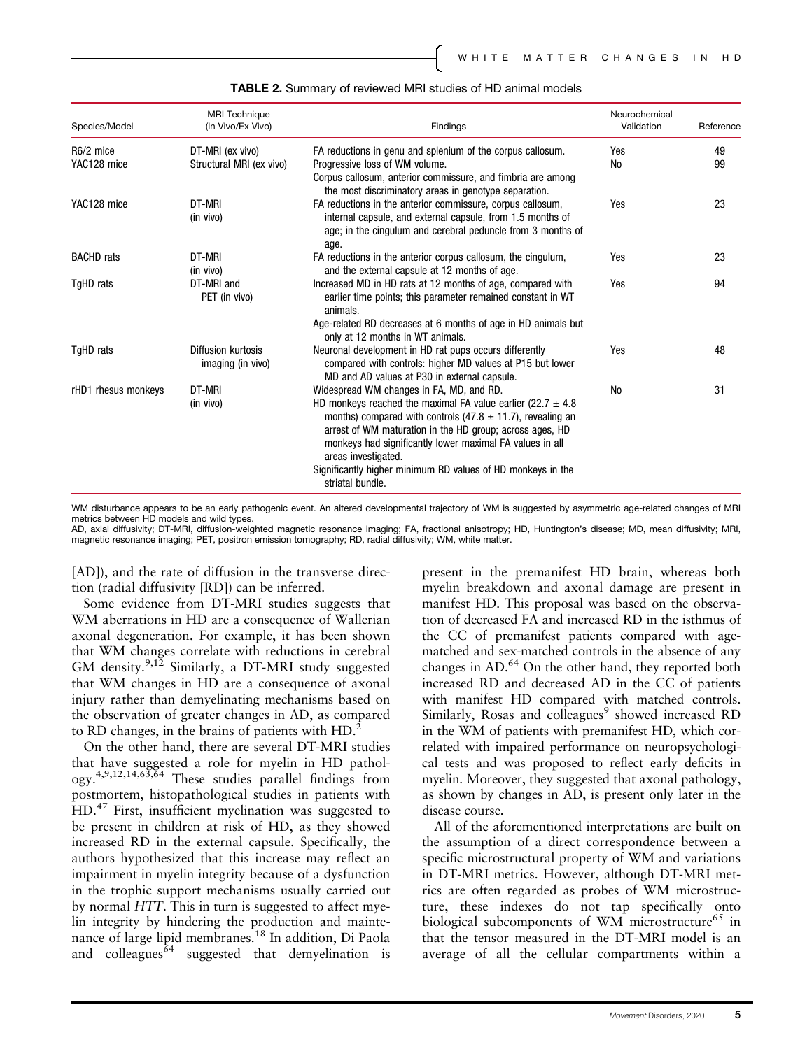| Species/Model       | <b>MRI</b> Technique<br>(In Vivo/Ex Vivo) | Findings                                                                                                                                                                                                                                                                                                                                                                                                        | Neurochemical<br>Validation | Reference |
|---------------------|-------------------------------------------|-----------------------------------------------------------------------------------------------------------------------------------------------------------------------------------------------------------------------------------------------------------------------------------------------------------------------------------------------------------------------------------------------------------------|-----------------------------|-----------|
| R6/2 mice           | DT-MRI (ex vivo)                          | FA reductions in genu and splenium of the corpus callosum.                                                                                                                                                                                                                                                                                                                                                      | Yes                         | 49        |
| YAC128 mice         | Structural MRI (ex vivo)                  | Progressive loss of WM volume.<br>Corpus callosum, anterior commissure, and fimbria are among<br>the most discriminatory areas in genotype separation.                                                                                                                                                                                                                                                          | No                          | 99        |
| YAC128 mice         | DT-MRI<br>(in vivo)                       | FA reductions in the anterior commissure, corpus callosum,<br>internal capsule, and external capsule, from 1.5 months of<br>age; in the cingulum and cerebral peduncle from 3 months of<br>age.                                                                                                                                                                                                                 | Yes                         | 23        |
| <b>BACHD</b> rats   | DT-MRI<br>(in vivo)                       | FA reductions in the anterior corpus callosum, the cingulum,<br>and the external capsule at 12 months of age.                                                                                                                                                                                                                                                                                                   | Yes                         | 23        |
| TgHD rats           | DT-MRI and<br>PET (in vivo)               | Increased MD in HD rats at 12 months of age, compared with<br>earlier time points; this parameter remained constant in WT<br>animals.<br>Age-related RD decreases at 6 months of age in HD animals but<br>only at 12 months in WT animals.                                                                                                                                                                      | Yes                         | 94        |
| TgHD rats           | Diffusion kurtosis<br>imaging (in vivo)   | Neuronal development in HD rat pups occurs differently<br>compared with controls: higher MD values at P15 but lower<br>MD and AD values at P30 in external capsule.                                                                                                                                                                                                                                             | Yes                         | 48        |
| rHD1 rhesus monkeys | DT-MRI<br>(in vivo)                       | Widespread WM changes in FA, MD, and RD.<br>HD monkeys reached the maximal FA value earlier (22.7 $\pm$ 4.8<br>months) compared with controls (47.8 $\pm$ 11.7), revealing an<br>arrest of WM maturation in the HD group; across ages, HD<br>monkeys had significantly lower maximal FA values in all<br>areas investigated.<br>Significantly higher minimum RD values of HD monkeys in the<br>striatal bundle. | No                          | 31        |

#### TABLE 2. Summary of reviewed MRI studies of HD animal models

WM disturbance appears to be an early pathogenic event. An altered developmental trajectory of WM is suggested by asymmetric age-related changes of MRI metrics between HD models and wild types.

AD, axial diffusivity; DT-MRI, diffusion-weighted magnetic resonance imaging; FA, fractional anisotropy; HD, Huntington's disease; MD, mean diffusivity; MRI, magnetic resonance imaging; PET, positron emission tomography; RD, radial diffusivity; WM, white matter.

[AD]), and the rate of diffusion in the transverse direction (radial diffusivity [RD]) can be inferred.

Some evidence from DT-MRI studies suggests that WM aberrations in HD are a consequence of Wallerian axonal degeneration. For example, it has been shown that WM changes correlate with reductions in cerebral GM density.<sup>9,12</sup> Similarly, a DT-MRI study suggested that WM changes in HD are a consequence of axonal injury rather than demyelinating mechanisms based on the observation of greater changes in AD, as compared to RD changes, in the brains of patients with HD.<sup>2</sup>

On the other hand, there are several DT-MRI studies that have suggested a role for myelin in HD pathology.4,9,12,14,63,64 These studies parallel findings from postmortem, histopathological studies in patients with HD.<sup>47</sup> First, insufficient myelination was suggested to be present in children at risk of HD, as they showed increased RD in the external capsule. Specifically, the authors hypothesized that this increase may reflect an impairment in myelin integrity because of a dysfunction in the trophic support mechanisms usually carried out by normal HTT. This in turn is suggested to affect myelin integrity by hindering the production and maintenance of large lipid membranes.<sup>18</sup> In addition, Di Paola and colleagues  $\delta^4$  suggested that demyelination is present in the premanifest HD brain, whereas both myelin breakdown and axonal damage are present in manifest HD. This proposal was based on the observation of decreased FA and increased RD in the isthmus of the CC of premanifest patients compared with agematched and sex-matched controls in the absence of any changes in AD.<sup>64</sup> On the other hand, they reported both increased RD and decreased AD in the CC of patients with manifest HD compared with matched controls. Similarly, Rosas and colleagues<sup>9</sup> showed increased RD in the WM of patients with premanifest HD, which correlated with impaired performance on neuropsychological tests and was proposed to reflect early deficits in myelin. Moreover, they suggested that axonal pathology, as shown by changes in AD, is present only later in the disease course.

All of the aforementioned interpretations are built on the assumption of a direct correspondence between a specific microstructural property of WM and variations in DT-MRI metrics. However, although DT-MRI metrics are often regarded as probes of WM microstructure, these indexes do not tap specifically onto biological subcomponents of WM microstructure<sup>65</sup> in that the tensor measured in the DT-MRI model is an average of all the cellular compartments within a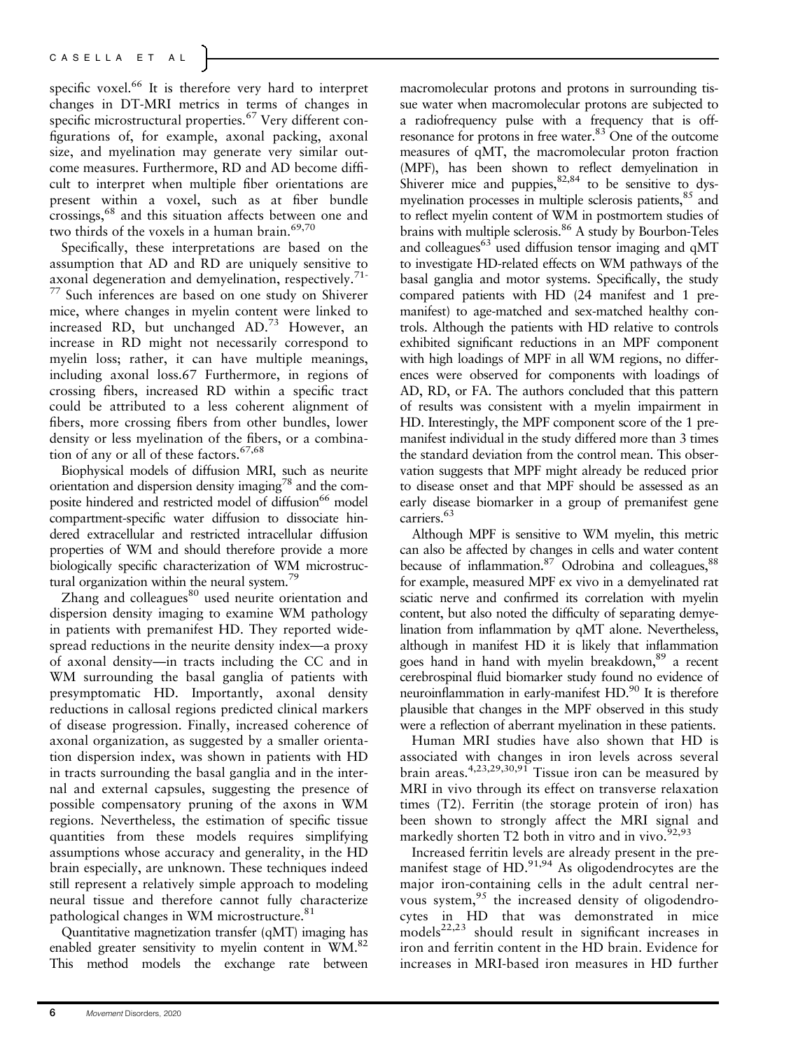specific voxel.<sup>66</sup> It is therefore very hard to interpret changes in DT-MRI metrics in terms of changes in specific microstructural properties.<sup>67</sup> Very different configurations of, for example, axonal packing, axonal size, and myelination may generate very similar outcome measures. Furthermore, RD and AD become difficult to interpret when multiple fiber orientations are present within a voxel, such as at fiber bundle crossings,<sup>68</sup> and this situation affects between one and two thirds of the voxels in a human brain.<sup>69,70</sup>

Specifically, these interpretations are based on the assumption that AD and RD are uniquely sensitive to axonal degeneration and demyelination, respectively.<sup>71-</sup> <sup>77</sup> Such inferences are based on one study on Shiverer mice, where changes in myelin content were linked to increased RD, but unchanged AD.73 However, an increase in RD might not necessarily correspond to myelin loss; rather, it can have multiple meanings, including axonal loss.67 Furthermore, in regions of crossing fibers, increased RD within a specific tract could be attributed to a less coherent alignment of fibers, more crossing fibers from other bundles, lower density or less myelination of the fibers, or a combination of any or all of these factors.<sup>67,68</sup>

Biophysical models of diffusion MRI, such as neurite orientation and dispersion density imaging<sup>78</sup> and the composite hindered and restricted model of diffusion<sup>66</sup> model compartment-specific water diffusion to dissociate hindered extracellular and restricted intracellular diffusion properties of WM and should therefore provide a more biologically specific characterization of WM microstructural organization within the neural system.<sup>79</sup>

Zhang and colleagues $80$  used neurite orientation and dispersion density imaging to examine WM pathology in patients with premanifest HD. They reported widespread reductions in the neurite density index—a proxy of axonal density—in tracts including the CC and in WM surrounding the basal ganglia of patients with presymptomatic HD. Importantly, axonal density reductions in callosal regions predicted clinical markers of disease progression. Finally, increased coherence of axonal organization, as suggested by a smaller orientation dispersion index, was shown in patients with HD in tracts surrounding the basal ganglia and in the internal and external capsules, suggesting the presence of possible compensatory pruning of the axons in WM regions. Nevertheless, the estimation of specific tissue quantities from these models requires simplifying assumptions whose accuracy and generality, in the HD brain especially, are unknown. These techniques indeed still represent a relatively simple approach to modeling neural tissue and therefore cannot fully characterize pathological changes in WM microstructure.<sup>81</sup>

Quantitative magnetization transfer (qMT) imaging has enabled greater sensitivity to myelin content in WM.<sup>82</sup> This method models the exchange rate between macromolecular protons and protons in surrounding tissue water when macromolecular protons are subjected to a radiofrequency pulse with a frequency that is offresonance for protons in free water.83 One of the outcome measures of qMT, the macromolecular proton fraction (MPF), has been shown to reflect demyelination in Shiverer mice and puppies,  $82,84$  to be sensitive to dysmyelination processes in multiple sclerosis patients, <sup>85</sup> and to reflect myelin content of WM in postmortem studies of brains with multiple sclerosis.<sup>86</sup> A study by Bourbon-Teles and colleagues<sup>63</sup> used diffusion tensor imaging and  $\alpha$ MT to investigate HD-related effects on WM pathways of the basal ganglia and motor systems. Specifically, the study compared patients with HD (24 manifest and 1 premanifest) to age-matched and sex-matched healthy controls. Although the patients with HD relative to controls exhibited significant reductions in an MPF component with high loadings of MPF in all WM regions, no differences were observed for components with loadings of AD, RD, or FA. The authors concluded that this pattern of results was consistent with a myelin impairment in HD. Interestingly, the MPF component score of the 1 premanifest individual in the study differed more than 3 times the standard deviation from the control mean. This observation suggests that MPF might already be reduced prior to disease onset and that MPF should be assessed as an early disease biomarker in a group of premanifest gene carriers.<sup>63</sup>

Although MPF is sensitive to WM myelin, this metric can also be affected by changes in cells and water content because of inflammation. $87$  Odrobina and colleagues,  $88$ for example, measured MPF ex vivo in a demyelinated rat sciatic nerve and confirmed its correlation with myelin content, but also noted the difficulty of separating demyelination from inflammation by qMT alone. Nevertheless, although in manifest HD it is likely that inflammation goes hand in hand with myelin breakdown,<sup>89</sup> a recent cerebrospinal fluid biomarker study found no evidence of neuroinflammation in early-manifest HD.<sup>90</sup> It is therefore plausible that changes in the MPF observed in this study were a reflection of aberrant myelination in these patients.

Human MRI studies have also shown that HD is associated with changes in iron levels across several brain areas.<sup>4,23,29,30,91</sup> Tissue iron can be measured by MRI in vivo through its effect on transverse relaxation times (T2). Ferritin (the storage protein of iron) has been shown to strongly affect the MRI signal and markedly shorten T2 both in vitro and in vivo.  $92,93$ 

Increased ferritin levels are already present in the premanifest stage of HD.<sup>91,94</sup> As oligodendrocytes are the major iron-containing cells in the adult central nervous system,<sup>95</sup> the increased density of oligodendrocytes in HD that was demonstrated in mice  $models^{22,23}$  should result in significant increases in iron and ferritin content in the HD brain. Evidence for increases in MRI-based iron measures in HD further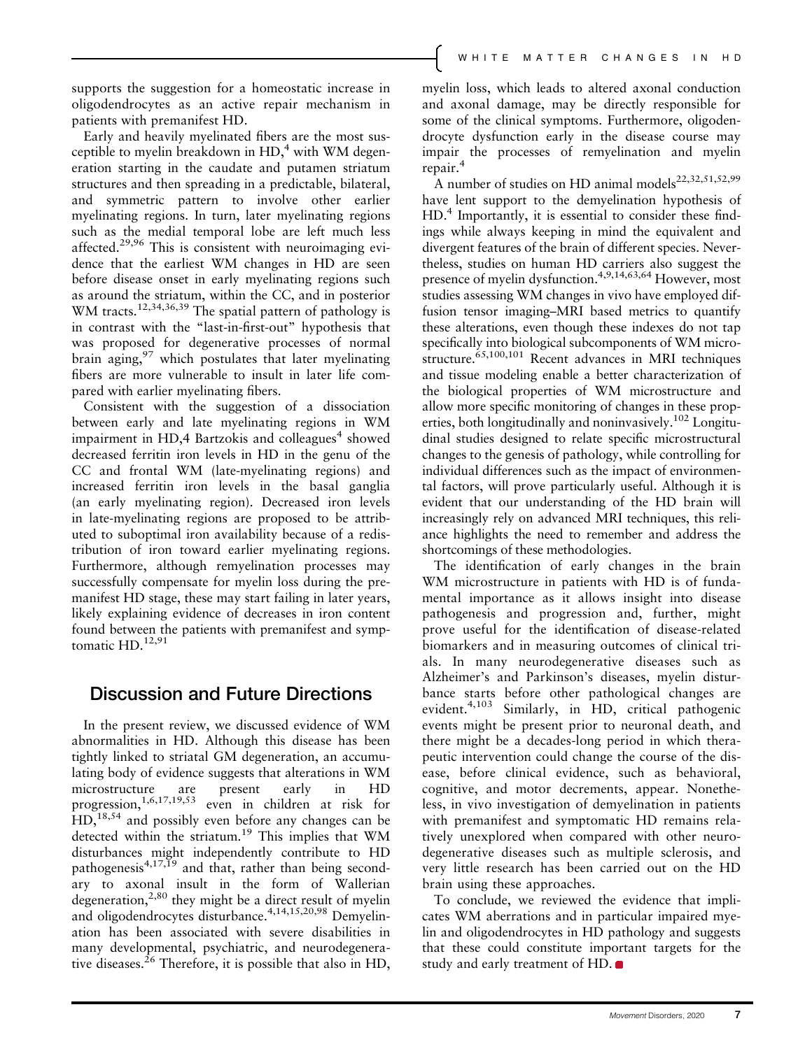supports the suggestion for a homeostatic increase in oligodendrocytes as an active repair mechanism in patients with premanifest HD.

Early and heavily myelinated fibers are the most susceptible to myelin breakdown in  $HD<sub>1</sub><sup>4</sup>$  with WM degeneration starting in the caudate and putamen striatum structures and then spreading in a predictable, bilateral, and symmetric pattern to involve other earlier myelinating regions. In turn, later myelinating regions such as the medial temporal lobe are left much less affected.<sup>29,96</sup> This is consistent with neuroimaging evidence that the earliest WM changes in HD are seen before disease onset in early myelinating regions such as around the striatum, within the CC, and in posterior WM tracts.<sup>12,34,36,39</sup> The spatial pattern of pathology is in contrast with the "last-in-first-out" hypothesis that was proposed for degenerative processes of normal brain aging,  $97$  which postulates that later myelinating fibers are more vulnerable to insult in later life compared with earlier myelinating fibers.

Consistent with the suggestion of a dissociation between early and late myelinating regions in WM impairment in HD,4 Bartzokis and colleagues<sup>4</sup> showed decreased ferritin iron levels in HD in the genu of the CC and frontal WM (late-myelinating regions) and increased ferritin iron levels in the basal ganglia (an early myelinating region). Decreased iron levels in late-myelinating regions are proposed to be attributed to suboptimal iron availability because of a redistribution of iron toward earlier myelinating regions. Furthermore, although remyelination processes may successfully compensate for myelin loss during the premanifest HD stage, these may start failing in later years, likely explaining evidence of decreases in iron content found between the patients with premanifest and symptomatic HD.<sup>12,91</sup>

## Discussion and Future Directions

In the present review, we discussed evidence of WM abnormalities in HD. Although this disease has been tightly linked to striatal GM degeneration, an accumulating body of evidence suggests that alterations in WM microstructure are present early in HD progression,1,6,17,19,53 even in children at risk for  $HD<sub>18,54</sub>$  and possibly even before any changes can be detected within the striatum.<sup>19</sup> This implies that WM disturbances might independently contribute to HD pathogenesis<sup>4,17,19</sup> and that, rather than being secondary to axonal insult in the form of Wallerian degeneration,<sup>2,80</sup> they might be a direct result of myelin and oligodendrocytes disturbance.<sup>4,14,15,20,98</sup> Demyelination has been associated with severe disabilities in many developmental, psychiatric, and neurodegenerative diseases.<sup>26</sup> Therefore, it is possible that also in HD, myelin loss, which leads to altered axonal conduction and axonal damage, may be directly responsible for some of the clinical symptoms. Furthermore, oligodendrocyte dysfunction early in the disease course may impair the processes of remyelination and myelin repair.<sup>4</sup>

A number of studies on HD animal models<sup>22,32,51,52,99</sup> have lent support to the demyelination hypothesis of HD.4 Importantly, it is essential to consider these findings while always keeping in mind the equivalent and divergent features of the brain of different species. Nevertheless, studies on human HD carriers also suggest the presence of myelin dysfunction.4,9,14,63,64 However, most studies assessing WM changes in vivo have employed diffusion tensor imaging–MRI based metrics to quantify these alterations, even though these indexes do not tap specifically into biological subcomponents of WM microstructure.<sup>65,100,101</sup> Recent advances in MRI techniques and tissue modeling enable a better characterization of the biological properties of WM microstructure and allow more specific monitoring of changes in these properties, both longitudinally and noninvasively.<sup>102</sup> Longitudinal studies designed to relate specific microstructural changes to the genesis of pathology, while controlling for individual differences such as the impact of environmental factors, will prove particularly useful. Although it is evident that our understanding of the HD brain will increasingly rely on advanced MRI techniques, this reliance highlights the need to remember and address the shortcomings of these methodologies.

The identification of early changes in the brain WM microstructure in patients with HD is of fundamental importance as it allows insight into disease pathogenesis and progression and, further, might prove useful for the identification of disease-related biomarkers and in measuring outcomes of clinical trials. In many neurodegenerative diseases such as Alzheimer's and Parkinson's diseases, myelin disturbance starts before other pathological changes are evident.<sup>4,103</sup> Similarly, in HD, critical pathogenic events might be present prior to neuronal death, and there might be a decades-long period in which therapeutic intervention could change the course of the disease, before clinical evidence, such as behavioral, cognitive, and motor decrements, appear. Nonetheless, in vivo investigation of demyelination in patients with premanifest and symptomatic HD remains relatively unexplored when compared with other neurodegenerative diseases such as multiple sclerosis, and very little research has been carried out on the HD brain using these approaches.

To conclude, we reviewed the evidence that implicates WM aberrations and in particular impaired myelin and oligodendrocytes in HD pathology and suggests that these could constitute important targets for the study and early treatment of HD.  $\bullet$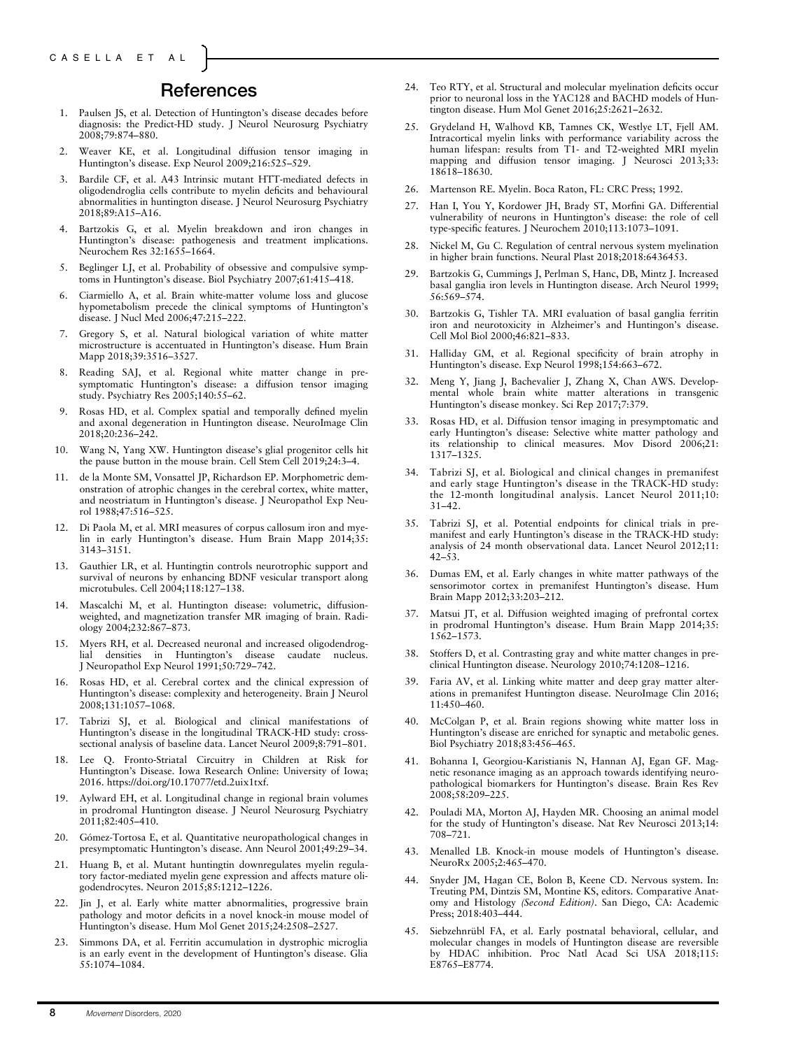### References

- 1. Paulsen JS, et al. Detection of Huntington's disease decades before diagnosis: the Predict-HD study. J Neurol Neurosurg Psychiatry 2008;79:874–880.
- 2. Weaver KE, et al. Longitudinal diffusion tensor imaging in Huntington's disease. Exp Neurol 2009;216:525–529.
- 3. Bardile CF, et al. A43 Intrinsic mutant HTT-mediated defects in oligodendroglia cells contribute to myelin deficits and behavioural abnormalities in huntington disease. J Neurol Neurosurg Psychiatry 2018;89:A15–A16.
- Bartzokis G, et al. Myelin breakdown and iron changes in Huntington's disease: pathogenesis and treatment implications. Neurochem Res 32:1655–1664.
- 5. Beglinger LJ, et al. Probability of obsessive and compulsive symptoms in Huntington's disease. Biol Psychiatry 2007;61:415–418.
- 6. Ciarmiello A, et al. Brain white-matter volume loss and glucose hypometabolism precede the clinical symptoms of Huntington's disease. J Nucl Med 2006;47:215–222.
- 7. Gregory S, et al. Natural biological variation of white matter microstructure is accentuated in Huntington's disease. Hum Brain Mapp 2018;39:3516–3527.
- 8. Reading SAJ, et al. Regional white matter change in presymptomatic Huntington's disease: a diffusion tensor imaging study. Psychiatry Res 2005;140:55–62.
- Rosas HD, et al. Complex spatial and temporally defined myelin and axonal degeneration in Huntington disease. NeuroImage Clin 2018;20:236–242.
- 10. Wang N, Yang XW. Huntington disease's glial progenitor cells hit the pause button in the mouse brain. Cell Stem Cell 2019;24:3–4.
- 11. de la Monte SM, Vonsattel JP, Richardson EP. Morphometric demonstration of atrophic changes in the cerebral cortex, white matter, and neostriatum in Huntington's disease. J Neuropathol Exp Neurol 1988;47:516–525.
- Di Paola M, et al. MRI measures of corpus callosum iron and myelin in early Huntington's disease. Hum Brain Mapp 2014;35: 3143–3151.
- 13. Gauthier LR, et al. Huntingtin controls neurotrophic support and survival of neurons by enhancing BDNF vesicular transport along microtubules. Cell 2004;118:127–138.
- 14. Mascalchi M, et al. Huntington disease: volumetric, diffusionweighted, and magnetization transfer MR imaging of brain. Radiology 2004;232:867–873.
- 15. Myers RH, et al. Decreased neuronal and increased oligodendroglial densities in Huntington's disease caudate nucleus. J Neuropathol Exp Neurol 1991;50:729–742.
- 16. Rosas HD, et al. Cerebral cortex and the clinical expression of Huntington's disease: complexity and heterogeneity. Brain J Neurol 2008;131:1057–1068.
- 17. Tabrizi SJ, et al. Biological and clinical manifestations of Huntington's disease in the longitudinal TRACK-HD study: crosssectional analysis of baseline data. Lancet Neurol 2009;8:791–801.
- 18. Lee Q. Fronto-Striatal Circuitry in Children at Risk for Huntington's Disease. Iowa Research Online: University of Iowa; 2016. [https://doi.org/10.17077/etd.2uix1txf.](https://doi.org/10.17077/etd.2uix1txf)
- 19. Aylward EH, et al. Longitudinal change in regional brain volumes in prodromal Huntington disease. J Neurol Neurosurg Psychiatry 2011;82:405–410.
- 20. Gómez-Tortosa E, et al. Quantitative neuropathological changes in presymptomatic Huntington's disease. Ann Neurol 2001;49:29–34.
- 21. Huang B, et al. Mutant huntingtin downregulates myelin regulatory factor-mediated myelin gene expression and affects mature oligodendrocytes. Neuron 2015;85:1212–1226.
- 22. Jin J, et al. Early white matter abnormalities, progressive brain pathology and motor deficits in a novel knock-in mouse model of Huntington's disease. Hum Mol Genet 2015;24:2508–2527.
- 23. Simmons DA, et al. Ferritin accumulation in dystrophic microglia is an early event in the development of Huntington's disease. Glia 55:1074–1084.
- 24. Teo RTY, et al. Structural and molecular myelination deficits occur prior to neuronal loss in the YAC128 and BACHD models of Huntington disease. Hum Mol Genet 2016;25:2621–2632.
- 25. Grydeland H, Walhovd KB, Tamnes CK, Westlye LT, Fjell AM. Intracortical myelin links with performance variability across the human lifespan: results from T1- and T2-weighted MRI myelin mapping and diffusion tensor imaging. J Neurosci 2013;33: 18618–18630.
- 26. Martenson RE. Myelin. Boca Raton, FL: CRC Press; 1992.
- 27. Han I, You Y, Kordower JH, Brady ST, Morfini GA. Differential vulnerability of neurons in Huntington's disease: the role of cell type-specific features. J Neurochem 2010;113:1073–1091.
- 28. Nickel M, Gu C. Regulation of central nervous system myelination in higher brain functions. Neural Plast 2018;2018:6436453.
- 29. Bartzokis G, Cummings J, Perlman S, Hanc, DB, Mintz J. Increased basal ganglia iron levels in Huntington disease. Arch Neurol 1999; 56:569–574.
- 30. Bartzokis G, Tishler TA. MRI evaluation of basal ganglia ferritin iron and neurotoxicity in Alzheimer's and Huntingon's disease. Cell Mol Biol 2000;46:821–833.
- 31. Halliday GM, et al. Regional specificity of brain atrophy in Huntington's disease. Exp Neurol 1998;154:663–672.
- 32. Meng Y, Jiang J, Bachevalier J, Zhang X, Chan AWS. Developmental whole brain white matter alterations in transgenic Huntington's disease monkey. Sci Rep 2017;7:379.
- 33. Rosas HD, et al. Diffusion tensor imaging in presymptomatic and early Huntington's disease: Selective white matter pathology and its relationship to clinical measures. Mov Disord 2006;21: 1317–1325.
- 34. Tabrizi SJ, et al. Biological and clinical changes in premanifest and early stage Huntington's disease in the TRACK-HD study: the 12-month longitudinal analysis. Lancet Neurol 2011;10: 31–42.
- 35. Tabrizi SJ, et al. Potential endpoints for clinical trials in premanifest and early Huntington's disease in the TRACK-HD study: analysis of 24 month observational data. Lancet Neurol 2012;11: 42–53.
- 36. Dumas EM, et al. Early changes in white matter pathways of the sensorimotor cortex in premanifest Huntington's disease. Hum Brain Mapp 2012;33:203–212.
- 37. Matsui JT, et al. Diffusion weighted imaging of prefrontal cortex in prodromal Huntington's disease. Hum Brain Mapp 2014;35: 1562–1573.
- 38. Stoffers D, et al. Contrasting gray and white matter changes in preclinical Huntington disease. Neurology 2010;74:1208–1216.
- 39. Faria AV, et al. Linking white matter and deep gray matter alterations in premanifest Huntington disease. NeuroImage Clin 2016; 11:450–460.
- 40. McColgan P, et al. Brain regions showing white matter loss in Huntington's disease are enriched for synaptic and metabolic genes. Biol Psychiatry 2018;83:456–465.
- 41. Bohanna I, Georgiou-Karistianis N, Hannan AJ, Egan GF. Magnetic resonance imaging as an approach towards identifying neuropathological biomarkers for Huntington's disease. Brain Res Rev 2008;58:209–225.
- 42. Pouladi MA, Morton AJ, Hayden MR. Choosing an animal model for the study of Huntington's disease. Nat Rev Neurosci 2013;14: 708–721.
- 43. Menalled LB. Knock-in mouse models of Huntington's disease. NeuroRx 2005;2:465–470.
- 44. Snyder JM, Hagan CE, Bolon B, Keene CD. Nervous system. In: Treuting PM, Dintzis SM, Montine KS, editors. Comparative Anatomy and Histology (Second Edition). San Diego, CA: Academic Press; 2018:403–444.
- 45. Siebzehnrübl FA, et al. Early postnatal behavioral, cellular, and molecular changes in models of Huntington disease are reversible by HDAC inhibition. Proc Natl Acad Sci USA 2018;115: E8765–E8774.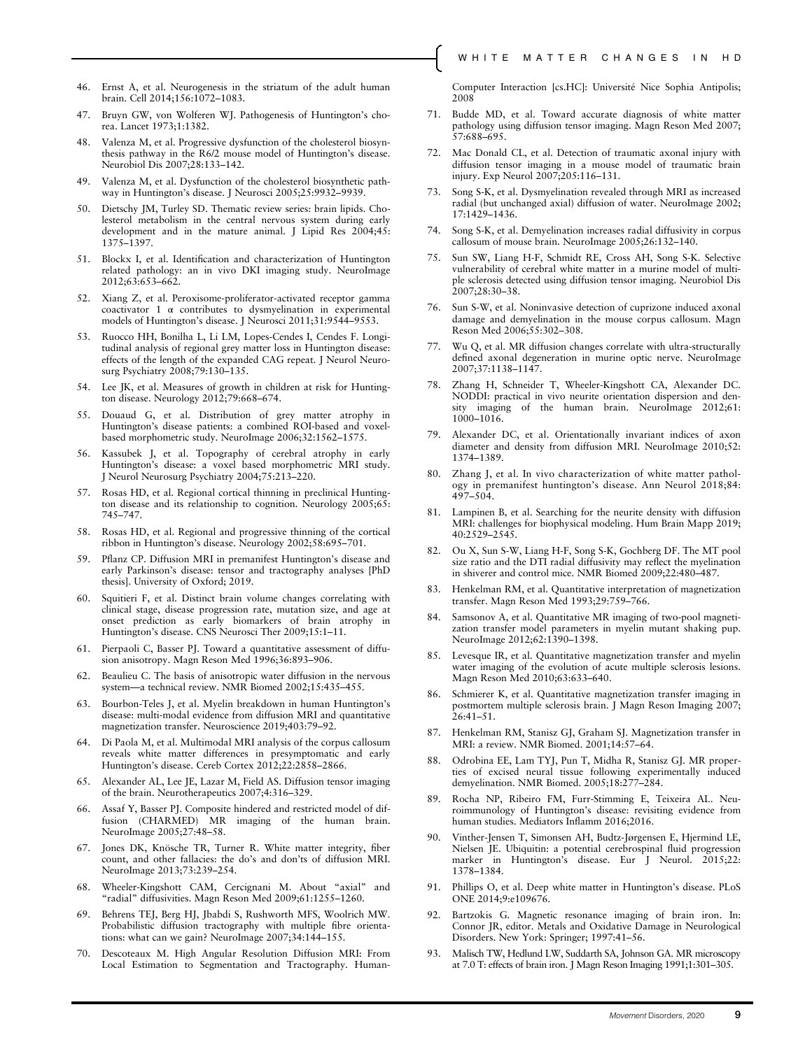- 46. Ernst A, et al. Neurogenesis in the striatum of the adult human brain. Cell 2014;156:1072–1083.
- 47. Bruyn GW, von Wolferen WJ. Pathogenesis of Huntington's chorea. Lancet 1973;1:1382.
- 48. Valenza M, et al. Progressive dysfunction of the cholesterol biosynthesis pathway in the R6/2 mouse model of Huntington's disease. Neurobiol Dis 2007;28:133–142.
- 49. Valenza M, et al. Dysfunction of the cholesterol biosynthetic pathway in Huntington's disease. J Neurosci 2005;25:9932–9939.
- 50. Dietschy JM, Turley SD. Thematic review series: brain lipids. Cholesterol metabolism in the central nervous system during early development and in the mature animal. J Lipid Res 2004;45: 1375–1397.
- 51. Blockx I, et al. Identification and characterization of Huntington related pathology: an in vivo DKI imaging study. NeuroImage 2012;63:653–662.
- 52. Xiang Z, et al. Peroxisome-proliferator-activated receptor gamma coactivator 1 α contributes to dysmyelination in experimental models of Huntington's disease. J Neurosci 2011;31:9544–9553.
- 53. Ruocco HH, Bonilha L, Li LM, Lopes-Cendes I, Cendes F. Longitudinal analysis of regional grey matter loss in Huntington disease: effects of the length of the expanded CAG repeat. J Neurol Neurosurg Psychiatry 2008;79:130–135.
- 54. Lee JK, et al. Measures of growth in children at risk for Huntington disease. Neurology 2012;79:668–674.
- 55. Douaud G, et al. Distribution of grey matter atrophy in Huntington's disease patients: a combined ROI-based and voxelbased morphometric study. NeuroImage 2006;32:1562–1575.
- Kassubek J, et al. Topography of cerebral atrophy in early Huntington's disease: a voxel based morphometric MRI study. J Neurol Neurosurg Psychiatry 2004;75:213–220.
- 57. Rosas HD, et al. Regional cortical thinning in preclinical Huntington disease and its relationship to cognition. Neurology 2005;65: 745–747.
- 58. Rosas HD, et al. Regional and progressive thinning of the cortical ribbon in Huntington's disease. Neurology 2002;58:695–701.
- 59. Pflanz CP. Diffusion MRI in premanifest Huntington's disease and early Parkinson's disease: tensor and tractography analyses [PhD thesis]. University of Oxford; 2019.
- 60. Squitieri F, et al. Distinct brain volume changes correlating with clinical stage, disease progression rate, mutation size, and age at onset prediction as early biomarkers of brain atrophy in Huntington's disease. CNS Neurosci Ther 2009;15:1–11.
- 61. Pierpaoli C, Basser PJ. Toward a quantitative assessment of diffusion anisotropy. Magn Reson Med 1996;36:893–906.
- 62. Beaulieu C. The basis of anisotropic water diffusion in the nervous system—a technical review. NMR Biomed 2002;15:435–455.
- 63. Bourbon-Teles J, et al. Myelin breakdown in human Huntington's disease: multi-modal evidence from diffusion MRI and quantitative magnetization transfer. Neuroscience 2019;403:79–92.
- 64. Di Paola M, et al. Multimodal MRI analysis of the corpus callosum reveals white matter differences in presymptomatic and early Huntington's disease. Cereb Cortex 2012;22:2858-2866.
- 65. Alexander AL, Lee JE, Lazar M, Field AS. Diffusion tensor imaging of the brain. Neurotherapeutics 2007;4:316–329.
- 66. Assaf Y, Basser PJ. Composite hindered and restricted model of diffusion (CHARMED) MR imaging of the human brain. NeuroImage 2005;27:48–58.
- 67. Jones DK, Knösche TR, Turner R. White matter integrity, fiber count, and other fallacies: the do's and don'ts of diffusion MRI. NeuroImage 2013;73:239–254.
- 68. Wheeler-Kingshott CAM, Cercignani M. About "axial" and "radial" diffusivities. Magn Reson Med 2009;61:1255–1260.
- 69. Behrens TEJ, Berg HJ, Jbabdi S, Rushworth MFS, Woolrich MW. Probabilistic diffusion tractography with multiple fibre orientations: what can we gain? NeuroImage 2007;34:144–155.
- 70. Descoteaux M. High Angular Resolution Diffusion MRI: From Local Estimation to Segmentation and Tractography. Human-

Computer Interaction [cs.HC]: Université Nice Sophia Antipolis; 2008

- 71. Budde MD, et al. Toward accurate diagnosis of white matter pathology using diffusion tensor imaging. Magn Reson Med 2007; 57:688–695.
- 72. Mac Donald CL, et al. Detection of traumatic axonal injury with diffusion tensor imaging in a mouse model of traumatic brain injury. Exp Neurol 2007;205:116–131.
- 73. Song S-K, et al. Dysmyelination revealed through MRI as increased radial (but unchanged axial) diffusion of water. NeuroImage 2002; 17:1429–1436.
- 74. Song S-K, et al. Demyelination increases radial diffusivity in corpus callosum of mouse brain. NeuroImage 2005;26:132–140.
- 75. Sun SW, Liang H-F, Schmidt RE, Cross AH, Song S-K. Selective vulnerability of cerebral white matter in a murine model of multiple sclerosis detected using diffusion tensor imaging. Neurobiol Dis 2007;28:30–38.
- 76. Sun S-W, et al. Noninvasive detection of cuprizone induced axonal damage and demyelination in the mouse corpus callosum. Magn Reson Med 2006;55:302–308.
- 77. Wu Q, et al. MR diffusion changes correlate with ultra-structurally defined axonal degeneration in murine optic nerve. NeuroImage 2007;37:1138–1147.
- 78. Zhang H, Schneider T, Wheeler-Kingshott CA, Alexander DC. NODDI: practical in vivo neurite orientation dispersion and density imaging of the human brain. NeuroImage 2012;61: 1000–1016.
- 79. Alexander DC, et al. Orientationally invariant indices of axon diameter and density from diffusion MRI. NeuroImage 2010;52: 1374–1389.
- 80. Zhang J, et al. In vivo characterization of white matter pathology in premanifest huntington's disease. Ann Neurol 2018;84: 497–504.
- 81. Lampinen B, et al. Searching for the neurite density with diffusion MRI: challenges for biophysical modeling. Hum Brain Mapp 2019; 40:2529–2545.
- 82. Ou X, Sun S-W, Liang H-F, Song S-K, Gochberg DF. The MT pool size ratio and the DTI radial diffusivity may reflect the myelination in shiverer and control mice. NMR Biomed 2009;22:480–487.
- 83. Henkelman RM, et al. Quantitative interpretation of magnetization transfer. Magn Reson Med 1993;29:759–766.
- 84. Samsonov A, et al. Quantitative MR imaging of two-pool magnetization transfer model parameters in myelin mutant shaking pup. NeuroImage 2012;62:1390–1398.
- 85. Levesque IR, et al. Quantitative magnetization transfer and myelin water imaging of the evolution of acute multiple sclerosis lesions. Magn Reson Med 2010;63:633–640.
- 86. Schmierer K, et al. Quantitative magnetization transfer imaging in postmortem multiple sclerosis brain. J Magn Reson Imaging 2007;  $26:41-51$ .
- 87. Henkelman RM, Stanisz GJ, Graham SJ. Magnetization transfer in MRI: a review. NMR Biomed. 2001;14:57–64.
- 88. Odrobina EE, Lam TYJ, Pun T, Midha R, Stanisz GJ. MR properties of excised neural tissue following experimentally induced demyelination. NMR Biomed. 2005;18:277–284.
- 89. Rocha NP, Ribeiro FM, Furr-Stimming E, Teixeira AL. Neuroimmunology of Huntington's disease: revisiting evidence from human studies. Mediators Inflamm 2016;2016.
- Vinther-Jensen T, Simonsen AH, Budtz-Jørgensen E, Hjermind LE, Nielsen JE. Ubiquitin: a potential cerebrospinal fluid progression marker in Huntington's disease. Eur J Neurol. 2015;22: 1378–1384.
- 91. Phillips O, et al. Deep white matter in Huntington's disease. PLoS ONE 2014;9:e109676.
- 92. Bartzokis G. Magnetic resonance imaging of brain iron. In: Connor JR, editor. Metals and Oxidative Damage in Neurological Disorders. New York: Springer; 1997:41–56.
- 93. Malisch TW, Hedlund LW, Suddarth SA, Johnson GA. MR microscopy at 7.0 T: effects of brain iron. J Magn Reson Imaging 1991;1:301–305.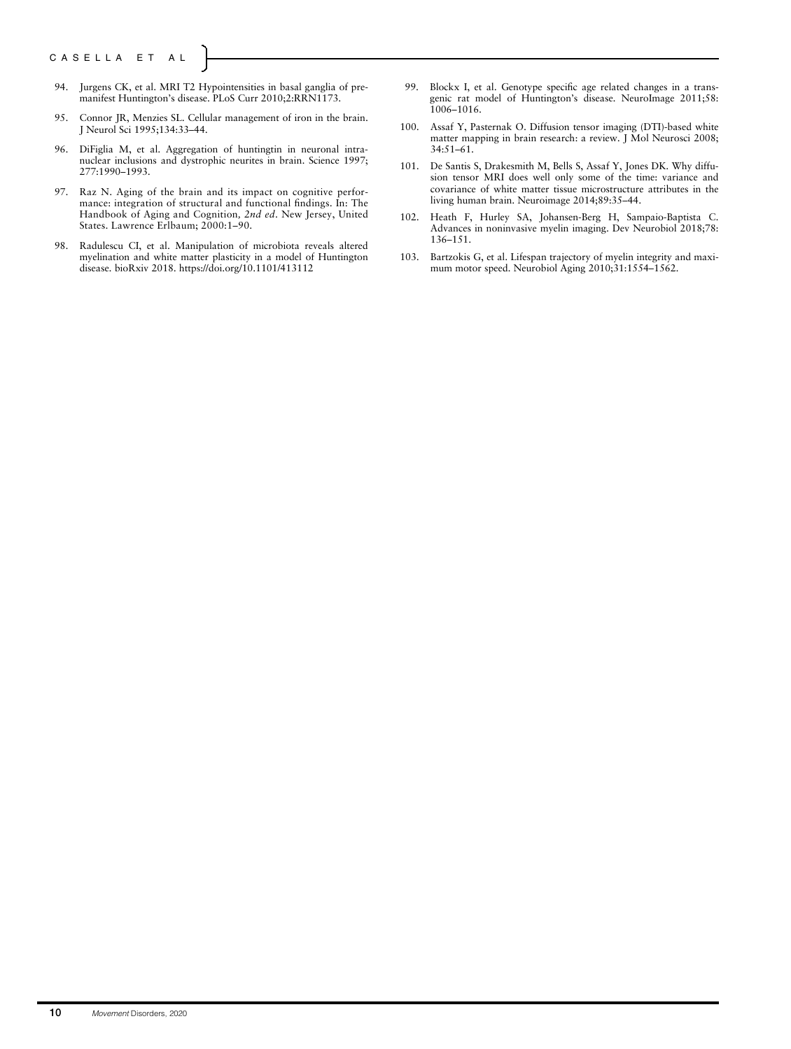- 94. Jurgens CK, et al. MRI T2 Hypointensities in basal ganglia of premanifest Huntington's disease. PLoS Curr 2010;2:RRN1173.
- 95. Connor JR, Menzies SL. Cellular management of iron in the brain. J Neurol Sci 1995;134:33–44.
- 96. DiFiglia M, et al. Aggregation of huntingtin in neuronal intranuclear inclusions and dystrophic neurites in brain. Science 1997; 277:1990–1993.
- 97. Raz N. Aging of the brain and its impact on cognitive performance: integration of structural and functional findings. In: The Handbook of Aging and Cognition, 2nd ed. New Jersey, United States. Lawrence Erlbaum; 2000:1-90.
- 98. Radulescu CI, et al. Manipulation of microbiota reveals altered myelination and white matter plasticity in a model of Huntington disease. bioRxiv 2018.<https://doi.org/10.1101/413112>
- 99. Blockx I, et al. Genotype specific age related changes in a transgenic rat model of Huntington's disease. NeuroImage 2011;58: 1006–1016.
- 100. Assaf Y, Pasternak O. Diffusion tensor imaging (DTI)-based white matter mapping in brain research: a review. J Mol Neurosci 2008; 34:51–61.
- 101. De Santis S, Drakesmith M, Bells S, Assaf Y, Jones DK. Why diffusion tensor MRI does well only some of the time: variance and covariance of white matter tissue microstructure attributes in the living human brain. Neuroimage 2014;89:35–44.
- 102. Heath F, Hurley SA, Johansen-Berg H, Sampaio-Baptista C. Advances in noninvasive myelin imaging. Dev Neurobiol 2018;78: 136–151.
- 103. Bartzokis G, et al. Lifespan trajectory of myelin integrity and maximum motor speed. Neurobiol Aging 2010;31:1554–1562.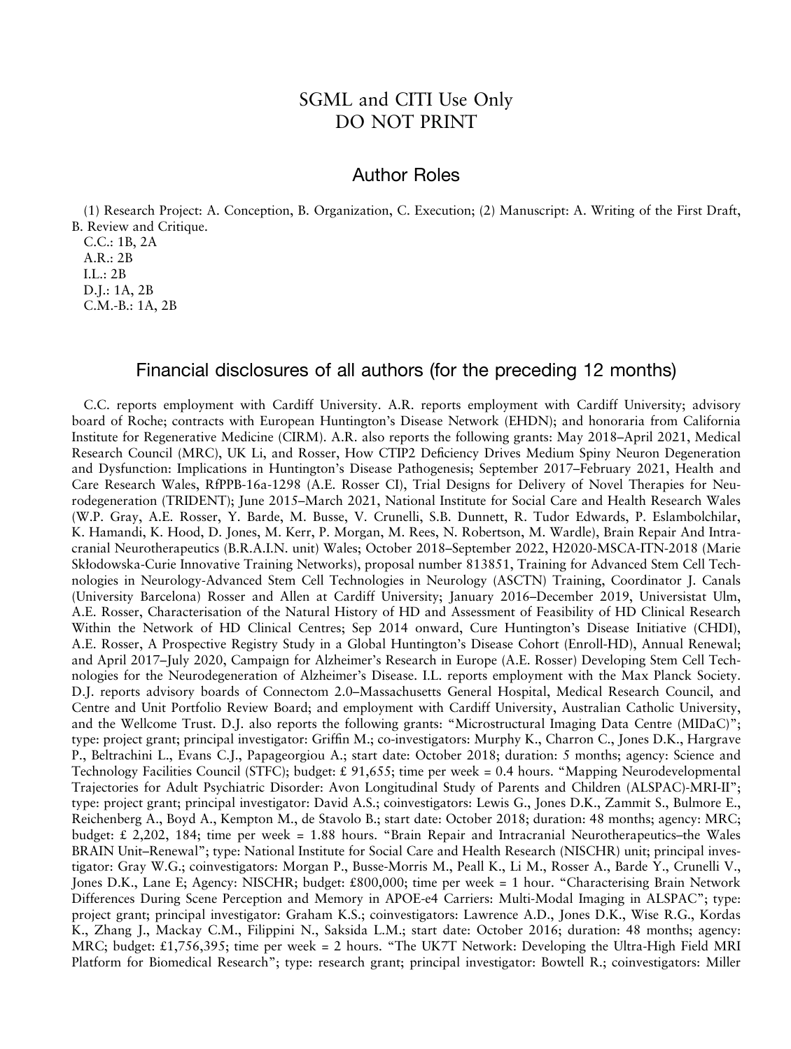## SGML and CITI Use Only DO NOT PRINT

### Author Roles

(1) Research Project: A. Conception, B. Organization, C. Execution; (2) Manuscript: A. Writing of the First Draft, B. Review and Critique.

C.C.: 1B, 2A A.R.: 2B I.L.: 2B D.J.: 1A, 2B C.M.-B.: 1A, 2B

### Financial disclosures of all authors (for the preceding 12 months)

C.C. reports employment with Cardiff University. A.R. reports employment with Cardiff University; advisory board of Roche; contracts with European Huntington's Disease Network (EHDN); and honoraria from California Institute for Regenerative Medicine (CIRM). A.R. also reports the following grants: May 2018–April 2021, Medical Research Council (MRC), UK Li, and Rosser, How CTIP2 Deficiency Drives Medium Spiny Neuron Degeneration and Dysfunction: Implications in Huntington's Disease Pathogenesis; September 2017–February 2021, Health and Care Research Wales, RfPPB-16a-1298 (A.E. Rosser CI), Trial Designs for Delivery of Novel Therapies for Neurodegeneration (TRIDENT); June 2015–March 2021, National Institute for Social Care and Health Research Wales (W.P. Gray, A.E. Rosser, Y. Barde, M. Busse, V. Crunelli, S.B. Dunnett, R. Tudor Edwards, P. Eslambolchilar, K. Hamandi, K. Hood, D. Jones, M. Kerr, P. Morgan, M. Rees, N. Robertson, M. Wardle), Brain Repair And Intracranial Neurotherapeutics (B.R.A.I.N. unit) Wales; October 2018–September 2022, H2020-MSCA-ITN-2018 (Marie Skłodowska-Curie Innovative Training Networks), proposal number 813851, Training for Advanced Stem Cell Technologies in Neurology-Advanced Stem Cell Technologies in Neurology (ASCTN) Training, Coordinator J. Canals (University Barcelona) Rosser and Allen at Cardiff University; January 2016–December 2019, Universistat Ulm, A.E. Rosser, Characterisation of the Natural History of HD and Assessment of Feasibility of HD Clinical Research Within the Network of HD Clinical Centres; Sep 2014 onward, Cure Huntington's Disease Initiative (CHDI), A.E. Rosser, A Prospective Registry Study in a Global Huntington's Disease Cohort (Enroll-HD), Annual Renewal; and April 2017–July 2020, Campaign for Alzheimer's Research in Europe (A.E. Rosser) Developing Stem Cell Technologies for the Neurodegeneration of Alzheimer's Disease. I.L. reports employment with the Max Planck Society. D.J. reports advisory boards of Connectom 2.0–Massachusetts General Hospital, Medical Research Council, and Centre and Unit Portfolio Review Board; and employment with Cardiff University, Australian Catholic University, and the Wellcome Trust. D.J. also reports the following grants: "Microstructural Imaging Data Centre (MIDaC)"; type: project grant; principal investigator: Griffin M.; co-investigators: Murphy K., Charron C., Jones D.K., Hargrave P., Beltrachini L., Evans C.J., Papageorgiou A.; start date: October 2018; duration: 5 months; agency: Science and Technology Facilities Council (STFC); budget: £ 91,655; time per week = 0.4 hours. "Mapping Neurodevelopmental Trajectories for Adult Psychiatric Disorder: Avon Longitudinal Study of Parents and Children (ALSPAC)-MRI-II"; type: project grant; principal investigator: David A.S.; coinvestigators: Lewis G., Jones D.K., Zammit S., Bulmore E., Reichenberg A., Boyd A., Kempton M., de Stavolo B.; start date: October 2018; duration: 48 months; agency: MRC; budget: £ 2,202, 184; time per week = 1.88 hours. "Brain Repair and Intracranial Neurotherapeutics–the Wales BRAIN Unit–Renewal"; type: National Institute for Social Care and Health Research (NISCHR) unit; principal investigator: Gray W.G.; coinvestigators: Morgan P., Busse-Morris M., Peall K., Li M., Rosser A., Barde Y., Crunelli V., Jones D.K., Lane E; Agency: NISCHR; budget: £800,000; time per week = 1 hour. "Characterising Brain Network Differences During Scene Perception and Memory in APOE-e4 Carriers: Multi-Modal Imaging in ALSPAC"; type: project grant; principal investigator: Graham K.S.; coinvestigators: Lawrence A.D., Jones D.K., Wise R.G., Kordas K., Zhang J., Mackay C.M., Filippini N., Saksida L.M.; start date: October 2016; duration: 48 months; agency: MRC; budget: £1,756,395; time per week = 2 hours. "The UK7T Network: Developing the Ultra-High Field MRI Platform for Biomedical Research"; type: research grant; principal investigator: Bowtell R.; coinvestigators: Miller